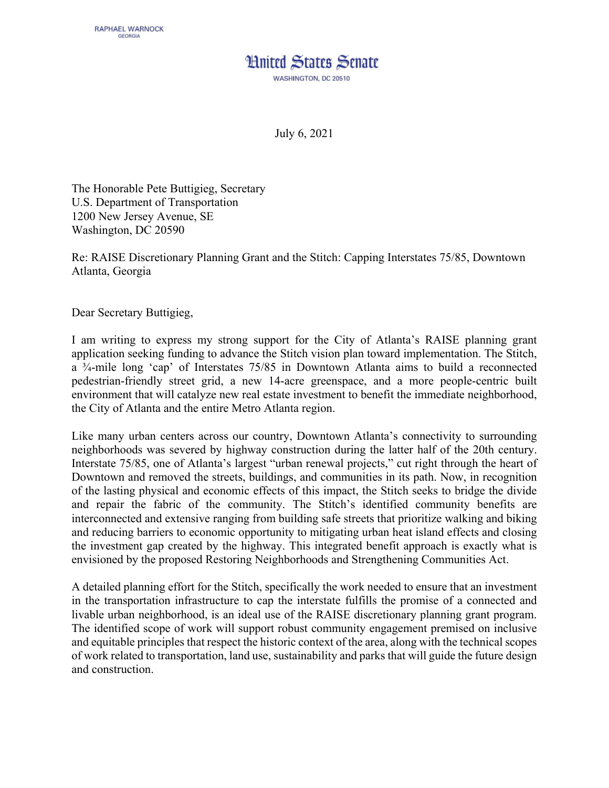## **Hnited States Senate**

WASHINGTON, DC 20510

July 6, 2021

The Honorable Pete Buttigieg, Secretary U.S. Department of Transportation 1200 New Jersey Avenue, SE Washington, DC 20590

Re: RAISE Discretionary Planning Grant and the Stitch: Capping Interstates 75/85, Downtown Atlanta, Georgia

Dear Secretary Buttigieg,

I am writing to express my strong support for the City of Atlanta's RAISE planning grant application seeking funding to advance the Stitch vision plan toward implementation. The Stitch, a ¾-mile long 'cap' of Interstates 75/85 in Downtown Atlanta aims to build a reconnected pedestrian-friendly street grid, a new 14-acre greenspace, and a more people-centric built environment that will catalyze new real estate investment to benefit the immediate neighborhood, the City of Atlanta and the entire Metro Atlanta region.

Like many urban centers across our country, Downtown Atlanta's connectivity to surrounding neighborhoods was severed by highway construction during the latter half of the 20th century. Interstate 75/85, one of Atlanta's largest "urban renewal projects," cut right through the heart of Downtown and removed the streets, buildings, and communities in its path. Now, in recognition of the lasting physical and economic effects of this impact, the Stitch seeks to bridge the divide and repair the fabric of the community. The Stitch's identified community benefits are interconnected and extensive ranging from building safe streets that prioritize walking and biking and reducing barriers to economic opportunity to mitigating urban heat island effects and closing the investment gap created by the highway. This integrated benefit approach is exactly what is envisioned by the proposed Restoring Neighborhoods and Strengthening Communities Act.

A detailed planning effort for the Stitch, specifically the work needed to ensure that an investment in the transportation infrastructure to cap the interstate fulfills the promise of a connected and livable urban neighborhood, is an ideal use of the RAISE discretionary planning grant program. The identified scope of work will support robust community engagement premised on inclusive and equitable principles that respect the historic context of the area, along with the technical scopes of work related to transportation, land use, sustainability and parks that will guide the future design and construction.